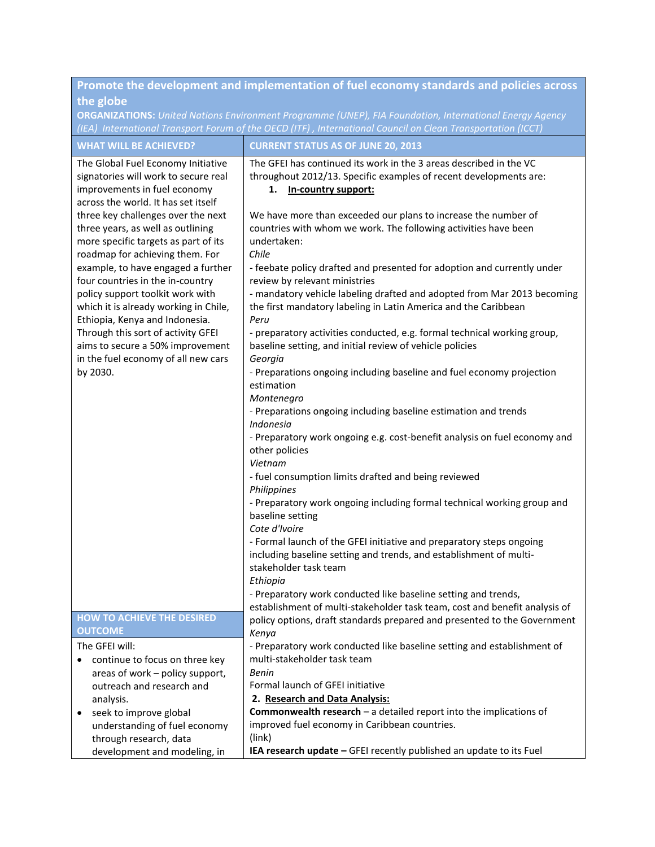| Promote the development and implementation of fuel economy standards and policies across<br>the globe                                                                                   |                                                                                                                                                                                                                                        |  |
|-----------------------------------------------------------------------------------------------------------------------------------------------------------------------------------------|----------------------------------------------------------------------------------------------------------------------------------------------------------------------------------------------------------------------------------------|--|
|                                                                                                                                                                                         | <b>ORGANIZATIONS:</b> United Nations Environment Programme (UNEP), FIA Foundation, International Energy Agency                                                                                                                         |  |
|                                                                                                                                                                                         | (IEA) International Transport Forum of the OECD (ITF), International Council on Clean Transportation (ICCT)                                                                                                                            |  |
| <b>WHAT WILL BE ACHIEVED?</b>                                                                                                                                                           | <b>CURRENT STATUS AS OF JUNE 20, 2013</b>                                                                                                                                                                                              |  |
| The Global Fuel Economy Initiative<br>signatories will work to secure real<br>improvements in fuel economy<br>across the world. It has set itself<br>three key challenges over the next | The GFEI has continued its work in the 3 areas described in the VC<br>throughout 2012/13. Specific examples of recent developments are:<br>1.<br>In-country support:<br>We have more than exceeded our plans to increase the number of |  |
| three years, as well as outlining<br>more specific targets as part of its<br>roadmap for achieving them. For                                                                            | countries with whom we work. The following activities have been<br>undertaken:<br>Chile                                                                                                                                                |  |
| example, to have engaged a further<br>four countries in the in-country                                                                                                                  | - feebate policy drafted and presented for adoption and currently under<br>review by relevant ministries                                                                                                                               |  |
| policy support toolkit work with<br>which it is already working in Chile,<br>Ethiopia, Kenya and Indonesia.                                                                             | - mandatory vehicle labeling drafted and adopted from Mar 2013 becoming<br>the first mandatory labeling in Latin America and the Caribbean<br>Peru                                                                                     |  |
| Through this sort of activity GFEI<br>aims to secure a 50% improvement<br>in the fuel economy of all new cars                                                                           | - preparatory activities conducted, e.g. formal technical working group,<br>baseline setting, and initial review of vehicle policies<br>Georgia                                                                                        |  |
| by 2030.                                                                                                                                                                                | - Preparations ongoing including baseline and fuel economy projection<br>estimation<br>Montenegro                                                                                                                                      |  |
|                                                                                                                                                                                         | - Preparations ongoing including baseline estimation and trends<br>Indonesia                                                                                                                                                           |  |
|                                                                                                                                                                                         | - Preparatory work ongoing e.g. cost-benefit analysis on fuel economy and<br>other policies<br>Vietnam                                                                                                                                 |  |
|                                                                                                                                                                                         | - fuel consumption limits drafted and being reviewed<br>Philippines                                                                                                                                                                    |  |
|                                                                                                                                                                                         | - Preparatory work ongoing including formal technical working group and<br>baseline setting<br>Cote d'Ivoire                                                                                                                           |  |
|                                                                                                                                                                                         | - Formal launch of the GFEI initiative and preparatory steps ongoing<br>including baseline setting and trends, and establishment of multi-<br>stakeholder task team<br>Ethiopia                                                        |  |
|                                                                                                                                                                                         | - Preparatory work conducted like baseline setting and trends,<br>establishment of multi-stakeholder task team, cost and benefit analysis of                                                                                           |  |
| <b>HOW TO ACHIEVE THE DESIRED</b><br><b>OUTCOME</b>                                                                                                                                     | policy options, draft standards prepared and presented to the Government<br>Kenya                                                                                                                                                      |  |
| The GFEI will:                                                                                                                                                                          | - Preparatory work conducted like baseline setting and establishment of                                                                                                                                                                |  |
| continue to focus on three key<br>$\bullet$                                                                                                                                             | multi-stakeholder task team                                                                                                                                                                                                            |  |
| areas of work - policy support,                                                                                                                                                         | Benin                                                                                                                                                                                                                                  |  |
| outreach and research and                                                                                                                                                               | Formal launch of GFEI initiative                                                                                                                                                                                                       |  |
| analysis.                                                                                                                                                                               | 2. Research and Data Analysis:                                                                                                                                                                                                         |  |
| seek to improve global<br>$\bullet$                                                                                                                                                     | <b>Commonwealth research</b> $-$ a detailed report into the implications of<br>improved fuel economy in Caribbean countries.                                                                                                           |  |
| understanding of fuel economy<br>through research, data                                                                                                                                 | (link)                                                                                                                                                                                                                                 |  |
| development and modeling, in                                                                                                                                                            | IEA research update - GFEI recently published an update to its Fuel                                                                                                                                                                    |  |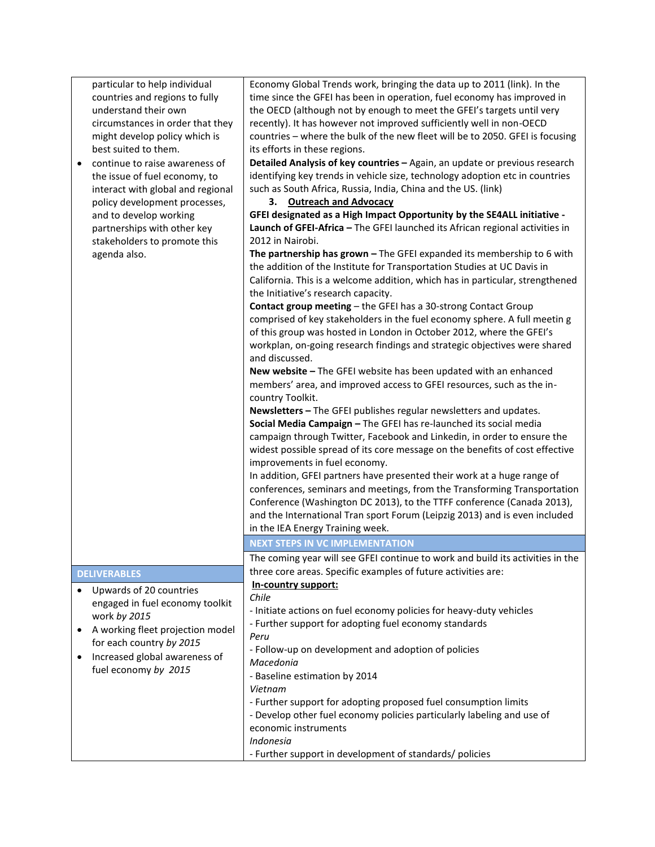| particular to help individual                 | Economy Global Trends work, bringing the data up to 2011 (link). In the        |
|-----------------------------------------------|--------------------------------------------------------------------------------|
| countries and regions to fully                | time since the GFEI has been in operation, fuel economy has improved in        |
| understand their own                          | the OECD (although not by enough to meet the GFEI's targets until very         |
| circumstances in order that they              | recently). It has however not improved sufficiently well in non-OECD           |
| might develop policy which is                 | countries - where the bulk of the new fleet will be to 2050. GFEI is focusing  |
| best suited to them.                          | its efforts in these regions.                                                  |
| continue to raise awareness of                | Detailed Analysis of key countries - Again, an update or previous research     |
| the issue of fuel economy, to                 | identifying key trends in vehicle size, technology adoption etc in countries   |
| interact with global and regional             | such as South Africa, Russia, India, China and the US. (link)                  |
| policy development processes,                 | 3. Outreach and Advocacy                                                       |
| and to develop working                        | GFEI designated as a High Impact Opportunity by the SE4ALL initiative -        |
| partnerships with other key                   | Launch of GFEI-Africa - The GFEI launched its African regional activities in   |
| stakeholders to promote this                  | 2012 in Nairobi.                                                               |
| agenda also.                                  | The partnership has grown $-$ The GFEI expanded its membership to 6 with       |
|                                               | the addition of the Institute for Transportation Studies at UC Davis in        |
|                                               | California. This is a welcome addition, which has in particular, strengthened  |
|                                               | the Initiative's research capacity.                                            |
|                                               | Contact group meeting - the GFEI has a 30-strong Contact Group                 |
|                                               | comprised of key stakeholders in the fuel economy sphere. A full meetin g      |
|                                               | of this group was hosted in London in October 2012, where the GFEI's           |
|                                               | workplan, on-going research findings and strategic objectives were shared      |
|                                               | and discussed.                                                                 |
|                                               | New website - The GFEI website has been updated with an enhanced               |
|                                               | members' area, and improved access to GFEI resources, such as the in-          |
|                                               | country Toolkit.                                                               |
|                                               | Newsletters - The GFEI publishes regular newsletters and updates.              |
|                                               | Social Media Campaign - The GFEI has re-launched its social media              |
|                                               | campaign through Twitter, Facebook and Linkedin, in order to ensure the        |
|                                               | widest possible spread of its core message on the benefits of cost effective   |
|                                               | improvements in fuel economy.                                                  |
|                                               | In addition, GFEI partners have presented their work at a huge range of        |
|                                               | conferences, seminars and meetings, from the Transforming Transportation       |
|                                               | Conference (Washington DC 2013), to the TTFF conference (Canada 2013),         |
|                                               | and the International Tran sport Forum (Leipzig 2013) and is even included     |
|                                               | in the IEA Energy Training week.                                               |
|                                               | <b>NEXT STEPS IN VC IMPLEMENTATION</b>                                         |
|                                               | The coming year will see GFEI continue to work and build its activities in the |
| <b>DELIVERABLES</b>                           | three core areas. Specific examples of future activities are:                  |
|                                               | In-country support:                                                            |
| Upwards of 20 countries                       | Chile                                                                          |
| engaged in fuel economy toolkit               | - Initiate actions on fuel economy policies for heavy-duty vehicles            |
| work by 2015                                  | - Further support for adopting fuel economy standards                          |
| A working fleet projection model<br>$\bullet$ | Peru                                                                           |
| for each country by 2015                      | - Follow-up on development and adoption of policies                            |
| Increased global awareness of                 | Macedonia                                                                      |
| fuel economy by 2015                          | - Baseline estimation by 2014                                                  |
|                                               | Vietnam                                                                        |
|                                               | - Further support for adopting proposed fuel consumption limits                |
|                                               | - Develop other fuel economy policies particularly labeling and use of         |
|                                               | economic instruments                                                           |
|                                               | Indonesia                                                                      |
|                                               | - Further support in development of standards/ policies                        |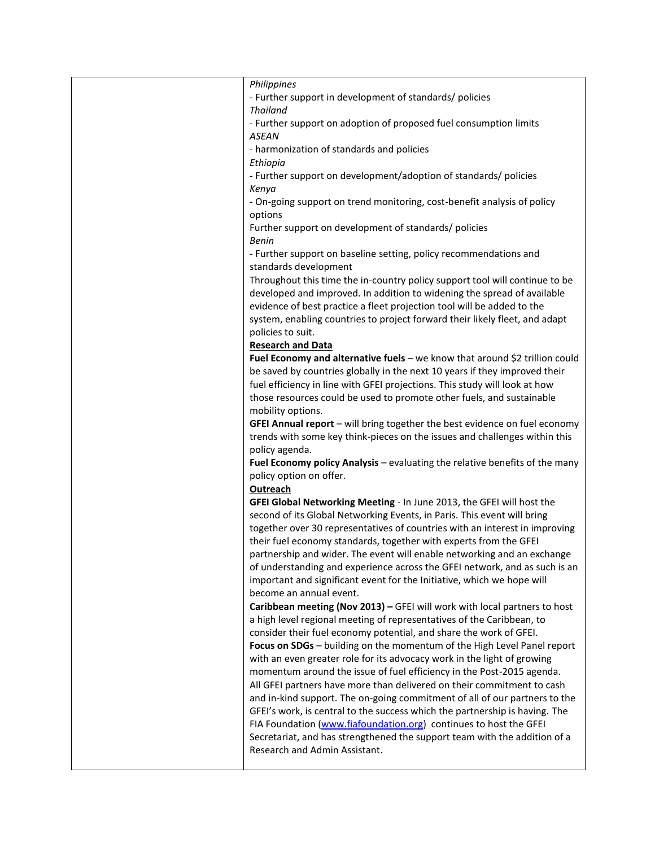| Philippines                                                                 |
|-----------------------------------------------------------------------------|
| - Further support in development of standards/ policies                     |
| <b>Thailand</b>                                                             |
| - Further support on adoption of proposed fuel consumption limits           |
| <b>ASEAN</b>                                                                |
| - harmonization of standards and policies                                   |
| Ethiopia                                                                    |
| - Further support on development/adoption of standards/ policies            |
| Kenya                                                                       |
| - On-going support on trend monitoring, cost-benefit analysis of policy     |
| options                                                                     |
| Further support on development of standards/ policies                       |
| <b>Benin</b>                                                                |
| - Further support on baseline setting, policy recommendations and           |
| standards development                                                       |
| Throughout this time the in-country policy support tool will continue to be |
| developed and improved. In addition to widening the spread of available     |
| evidence of best practice a fleet projection tool will be added to the      |
| system, enabling countries to project forward their likely fleet, and adapt |
| policies to suit.                                                           |
| <b>Research and Data</b>                                                    |
| Fuel Economy and alternative fuels - we know that around \$2 trillion could |
| be saved by countries globally in the next 10 years if they improved their  |
| fuel efficiency in line with GFEI projections. This study will look at how  |
| those resources could be used to promote other fuels, and sustainable       |
| mobility options.                                                           |
|                                                                             |
| GFEI Annual report - will bring together the best evidence on fuel economy  |
| trends with some key think-pieces on the issues and challenges within this  |
| policy agenda.                                                              |
| Fuel Economy policy Analysis - evaluating the relative benefits of the many |
| policy option on offer.                                                     |
| Outreach                                                                    |
| GFEI Global Networking Meeting - In June 2013, the GFEI will host the       |
| second of its Global Networking Events, in Paris. This event will bring     |
| together over 30 representatives of countries with an interest in improving |
| their fuel economy standards, together with experts from the GFEI           |
| partnership and wider. The event will enable networking and an exchange     |
| of understanding and experience across the GFEI network, and as such is an  |
| important and significant event for the Initiative, which we hope will      |
| become an annual event.                                                     |
| Caribbean meeting (Nov 2013) - GFEI will work with local partners to host   |
| a high level regional meeting of representatives of the Caribbean, to       |
| consider their fuel economy potential, and share the work of GFEI.          |
| Focus on SDGs - building on the momentum of the High Level Panel report     |
| with an even greater role for its advocacy work in the light of growing     |
|                                                                             |
| momentum around the issue of fuel efficiency in the Post-2015 agenda.       |
| All GFEI partners have more than delivered on their commitment to cash      |
| and in-kind support. The on-going commitment of all of our partners to the  |
| GFEI's work, is central to the success which the partnership is having. The |
| FIA Foundation (www.fiafoundation.org) continues to host the GFEI           |
| Secretariat, and has strengthened the support team with the addition of a   |
| Research and Admin Assistant.                                               |
|                                                                             |